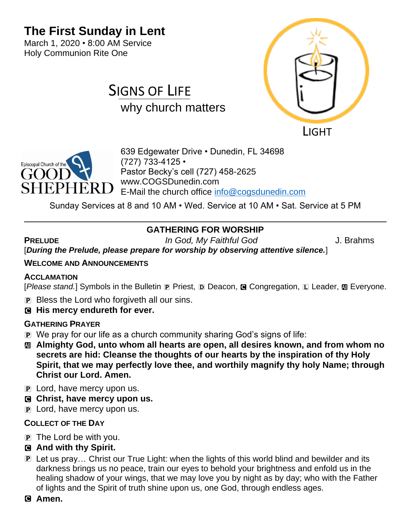# **The First Sunday in Lent**

March 1, 2020 • 8:00 AM Service Holy Communion Rite One

# SIGNS OF LIFE why church matters





639 Edgewater Drive • Dunedin, FL 34698 (727) 733-4125 • Pastor Becky's cell (727) 458-2625 www.COGSDunedin.com E-Mail the church office [info@cogsdunedin.com](mailto:info@cogsdunedin.com)

Sunday Services at 8 and 10 AM • Wed. Service at 10 AM • Sat. Service at 5 PM

# **GATHERING FOR WORSHIP**

**PRELUDE** *In God, My Faithful God* J. Brahms

[*During the Prelude, please prepare for worship by observing attentive silence.*]

### **WELCOME AND ANNOUNCEMENTS**

#### **ACCLAMATION**

[*Please stand.*] Symbols in the Bulletin **P** Priest, **D** Deacon, **G** Congregation, **L** Leader, **M** Everyone.

- P Bless the Lord who forgiveth all our sins.
- C **His mercy endureth for ever.**

# **GATHERING PRAYER**

- P We pray for our life as a church community sharing God's signs of life:
- a **Almighty God, unto whom all hearts are open, all desires known, and from whom no secrets are hid: Cleanse the thoughts of our hearts by the inspiration of thy Holy Spirit, that we may perfectly love thee, and worthily magnify thy holy Name; through Christ our Lord. Amen.**
- **P** Lord, have mercy upon us.
- C **Christ, have mercy upon us.**
- P Lord, have mercy upon us.

# **COLLECT OF THE DAY**

- $\overline{p}$  The Lord be with you.
- C **And with thy Spirit.**
- P Let us pray… Christ our True Light: when the lights of this world blind and bewilder and its darkness brings us no peace, train our eyes to behold your brightness and enfold us in the healing shadow of your wings, that we may love you by night as by day; who with the Father of lights and the Spirit of truth shine upon us, one God, through endless ages.

# C **Amen.**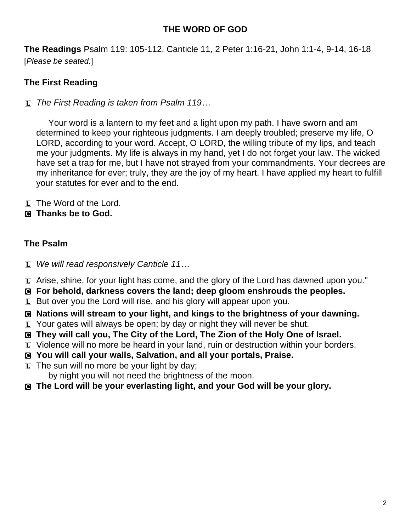### **THE WORD OF GOD**

**The Readings** Psalm 119: 105-112, Canticle 11, 2 Peter 1:16-21, John 1:1-4, 9-14, 16-18 [*Please be seated.*]

# **The First Reading**

L *The First Reading is taken from Psalm 119…*

Your word is a lantern to my feet and a light upon my path. I have sworn and am determined to keep your righteous judgments. I am deeply troubled; preserve my life, O LORD, according to your word. Accept, O LORD, the willing tribute of my lips, and teach me your judgments. My life is always in my hand, yet I do not forget your law. The wicked have set a trap for me, but I have not strayed from your commandments. Your decrees are my inheritance for ever; truly, they are the joy of my heart. I have applied my heart to fulfill your statutes for ever and to the end.

- L The Word of the Lord.
- C **Thanks be to God.**

### **The Psalm**

- L *We will read responsively Canticle 11…*
- L Arise, shine, for your light has come, and the glory of the Lord has dawned upon you."
- C **For behold, darkness covers the land; deep gloom enshrouds the peoples.**
- L But over you the Lord will rise, and his glory will appear upon you.
- C **Nations will stream to your light, and kings to the brightness of your dawning.**
- L Your gates will always be open; by day or night they will never be shut.
- C **They will call you, The City of the Lord, The Zion of the Holy One of Israel.**
- L Violence will no more be heard in your land, ruin or destruction within your borders.
- C **You will call your walls, Salvation, and all your portals, Praise.**
- $\Box$  The sun will no more be your light by day;
	- by night you will not need the brightness of the moon.
- C **The Lord will be your everlasting light, and your God will be your glory.**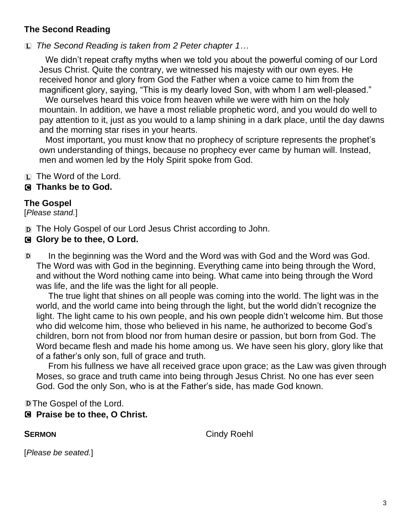# **The Second Reading**

L *The Second Reading is taken from 2 Peter chapter 1…*

We didn't repeat crafty myths when we told you about the powerful coming of our Lord Jesus Christ. Quite the contrary, we witnessed his majesty with our own eyes. He received honor and glory from God the Father when a voice came to him from the magnificent glory, saying, "This is my dearly loved Son, with whom I am well-pleased."

We ourselves heard this voice from heaven while we were with him on the holy mountain. In addition, we have a most reliable prophetic word, and you would do well to pay attention to it, just as you would to a lamp shining in a dark place, until the day dawns and the morning star rises in your hearts.

Most important, you must know that no prophecy of scripture represents the prophet's own understanding of things, because no prophecy ever came by human will. Instead, men and women led by the Holy Spirit spoke from God.

 $[L]$  The Word of the Lord.

### C **Thanks be to God.**

### **The Gospel**

[*Please stand.*]

D The Holy Gospel of our Lord Jesus Christ according to John.

### C **Glory be to thee, O Lord.**

D In the beginning was the Word and the Word was with God and the Word was God. The Word was with God in the beginning. Everything came into being through the Word, and without the Word nothing came into being. What came into being through the Word was life, and the life was the light for all people.

The true light that shines on all people was coming into the world. The light was in the world, and the world came into being through the light, but the world didn't recognize the light. The light came to his own people, and his own people didn't welcome him. But those who did welcome him, those who believed in his name, he authorized to become God's children, born not from blood nor from human desire or passion, but born from God. The Word became flesh and made his home among us. We have seen his glory, glory like that of a father's only son, full of grace and truth.

From his fullness we have all received grace upon grace; as the Law was given through Moses, so grace and truth came into being through Jesus Christ. No one has ever seen God. God the only Son, who is at the Father's side, has made God known.

# DThe Gospel of the Lord.

# C **Praise be to thee, O Christ.**

**SERMON** Cindy Roehl

[*Please be seated.*]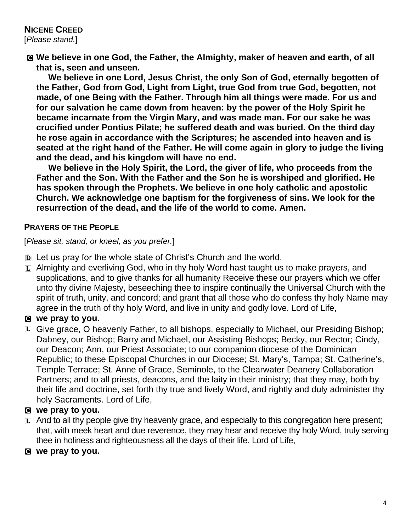C **We believe in one God, the Father, the Almighty, maker of heaven and earth, of all that is, seen and unseen.** 

**We believe in one Lord, Jesus Christ, the only Son of God, eternally begotten of the Father, God from God, Light from Light, true God from true God, begotten, not made, of one Being with the Father. Through him all things were made. For us and for our salvation he came down from heaven: by the power of the Holy Spirit he became incarnate from the Virgin Mary, and was made man. For our sake he was crucified under Pontius Pilate; he suffered death and was buried. On the third day he rose again in accordance with the Scriptures; he ascended into heaven and is seated at the right hand of the Father. He will come again in glory to judge the living and the dead, and his kingdom will have no end.**

**We believe in the Holy Spirit, the Lord, the giver of life, who proceeds from the Father and the Son. With the Father and the Son he is worshiped and glorified. He has spoken through the Prophets. We believe in one holy catholic and apostolic Church. We acknowledge one baptism for the forgiveness of sins. We look for the resurrection of the dead, and the life of the world to come. Amen.**

#### **PRAYERS OF THE PEOPLE**

[*Please sit, stand, or kneel, as you prefer.*]

- D Let us pray for the whole state of Christ's Church and the world.
- L Almighty and everliving God, who in thy holy Word hast taught us to make prayers, and supplications, and to give thanks for all humanity Receive these our prayers which we offer unto thy divine Majesty, beseeching thee to inspire continually the Universal Church with the spirit of truth, unity, and concord; and grant that all those who do confess thy holy Name may agree in the truth of thy holy Word, and live in unity and godly love. Lord of Life,

### C **we pray to you.**

L Give grace, O heavenly Father, to all bishops, especially to Michael, our Presiding Bishop; Dabney, our Bishop; Barry and Michael, our Assisting Bishops; Becky, our Rector; Cindy, our Deacon; Ann, our Priest Associate; to our companion diocese of the Dominican Republic; to these Episcopal Churches in our Diocese; St. Mary's, Tampa; St. Catherine's, Temple Terrace; St. Anne of Grace, Seminole, to the Clearwater Deanery Collaboration Partners; and to all priests, deacons, and the laity in their ministry; that they may, both by their life and doctrine, set forth thy true and lively Word, and rightly and duly administer thy holy Sacraments. Lord of Life,

#### C **we pray to you.**

- $\Box$  And to all thy people give thy heavenly grace, and especially to this congregation here present; that, with meek heart and due reverence, they may hear and receive thy holy Word, truly serving thee in holiness and righteousness all the days of their life. Lord of Life,
- C **we pray to you.**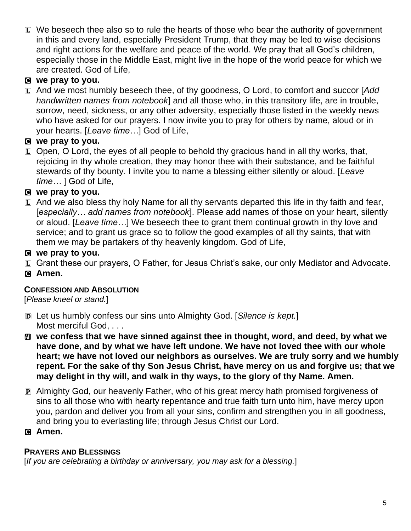$\Box$  We beseech thee also so to rule the hearts of those who bear the authority of government in this and every land, especially President Trump, that they may be led to wise decisions and right actions for the welfare and peace of the world. We pray that all God's children, especially those in the Middle East, might live in the hope of the world peace for which we are created. God of Life,

# C **we pray to you.**

L And we most humbly beseech thee, of thy goodness, O Lord, to comfort and succor [*Add handwritten names from notebook*] and all those who, in this transitory life, are in trouble, sorrow, need, sickness, or any other adversity, especially those listed in the weekly news who have asked for our prayers. I now invite you to pray for others by name, aloud or in your hearts. [*Leave time…*] God of Life,

# C **we pray to you.**

 $\Box$  Open, O Lord, the eyes of all people to behold thy gracious hand in all thy works, that, rejoicing in thy whole creation, they may honor thee with their substance, and be faithful stewards of thy bounty. I invite you to name a blessing either silently or aloud. [*Leave time…* ] God of Life,

# C **we pray to you.**

 $E$  And we also bless thy holy Name for all thy servants departed this life in thy faith and fear, [*especially… add names from notebook*]. Please add names of those on your heart, silently or aloud. [*Leave time…*] We beseech thee to grant them continual growth in thy love and service; and to grant us grace so to follow the good examples of all thy saints, that with them we may be partakers of thy heavenly kingdom. God of Life,

# C **we pray to you.**

- L Grant these our prayers, O Father, for Jesus Christ's sake, our only Mediator and Advocate.
- C **Amen.**

# **CONFESSION AND ABSOLUTION**

[*Please kneel or stand.*]

- D Let us humbly confess our sins unto Almighty God. [*Silence is kept.*] Most merciful God, ...
- a **we confess that we have sinned against thee in thought, word, and deed, by what we have done, and by what we have left undone. We have not loved thee with our whole heart; we have not loved our neighbors as ourselves. We are truly sorry and we humbly repent. For the sake of thy Son Jesus Christ, have mercy on us and forgive us; that we may delight in thy will, and walk in thy ways, to the glory of thy Name. Amen.**
- P Almighty God, our heavenly Father, who of his great mercy hath promised forgiveness of sins to all those who with hearty repentance and true faith turn unto him, have mercy upon you, pardon and deliver you from all your sins, confirm and strengthen you in all goodness, and bring you to everlasting life; through Jesus Christ our Lord.

# C **Amen.**

# **PRAYERS AND BLESSINGS**

[*If you are celebrating a birthday or anniversary, you may ask for a blessing.*]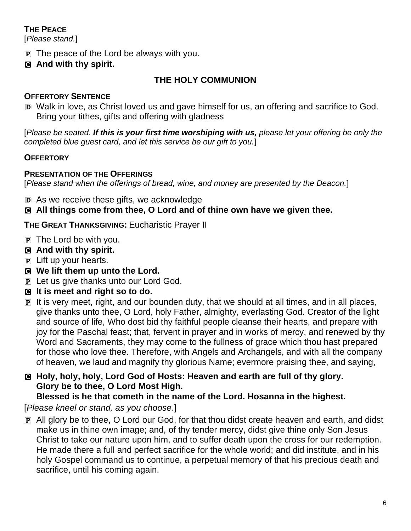# **THE PEACE**

[*Please stand.*]

- P The peace of the Lord be always with you.
- C **And with thy spirit.**

# **THE HOLY COMMUNION**

# **OFFERTORY SENTENCE**

D Walk in love, as Christ loved us and gave himself for us, an offering and sacrifice to God. Bring your tithes, gifts and offering with gladness

[*Please be seated. If this is your first time worshiping with us, please let your offering be only the completed blue guest card, and let this service be our gift to you.*]

# **OFFERTORY**

# **PRESENTATION OF THE OFFERINGS**

[*Please stand when the offerings of bread, wine, and money are presented by the Deacon.*]

D As we receive these gifts, we acknowledge

# C **All things come from thee, O Lord and of thine own have we given thee.**

**THE GREAT THANKSGIVING:** Eucharistic Prayer II

- $\overline{p}$  The Lord be with you.
- C **And with thy spirit.**
- P Lift up your hearts.
- C **We lift them up unto the Lord.**
- P Let us give thanks unto our Lord God.
- C **It is meet and right so to do.**
- P It is very meet, right, and our bounden duty, that we should at all times, and in all places, give thanks unto thee, O Lord, holy Father, almighty, everlasting God. Creator of the light and source of life, Who dost bid thy faithful people cleanse their hearts, and prepare with joy for the Paschal feast; that, fervent in prayer and in works of mercy, and renewed by thy Word and Sacraments, they may come to the fullness of grace which thou hast prepared for those who love thee. Therefore, with Angels and Archangels, and with all the company of heaven, we laud and magnify thy glorious Name; evermore praising thee, and saying,
- C **Holy, holy, holy, Lord God of Hosts: Heaven and earth are full of thy glory. Glory be to thee, O Lord Most High.**

# **Blessed is he that cometh in the name of the Lord. Hosanna in the highest.**

[*Please kneel or stand, as you choose.*]

P All glory be to thee, O Lord our God, for that thou didst create heaven and earth, and didst make us in thine own image; and, of thy tender mercy, didst give thine only Son Jesus Christ to take our nature upon him, and to suffer death upon the cross for our redemption. He made there a full and perfect sacrifice for the whole world; and did institute, and in his holy Gospel command us to continue, a perpetual memory of that his precious death and sacrifice, until his coming again.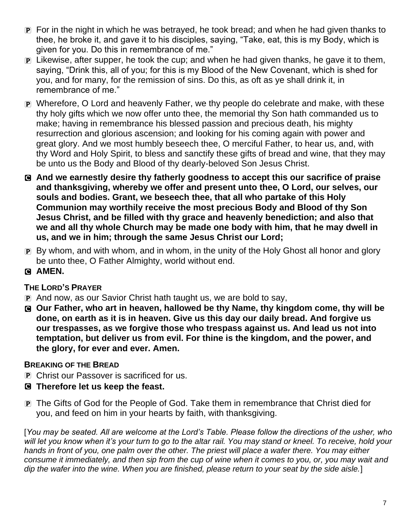- P For in the night in which he was betrayed, he took bread; and when he had given thanks to thee, he broke it, and gave it to his disciples, saying, "Take, eat, this is my Body, which is given for you. Do this in remembrance of me."
- P Likewise, after supper, he took the cup; and when he had given thanks, he gave it to them, saying, "Drink this, all of you; for this is my Blood of the New Covenant, which is shed for you, and for many, for the remission of sins. Do this, as oft as ye shall drink it, in remembrance of me."
- P Wherefore, O Lord and heavenly Father, we thy people do celebrate and make, with these thy holy gifts which we now offer unto thee, the memorial thy Son hath commanded us to make; having in remembrance his blessed passion and precious death, his mighty resurrection and glorious ascension; and looking for his coming again with power and great glory. And we most humbly beseech thee, O merciful Father, to hear us, and, with thy Word and Holy Spirit, to bless and sanctify these gifts of bread and wine, that they may be unto us the Body and Blood of thy dearly-beloved Son Jesus Christ.
- C **And we earnestly desire thy fatherly goodness to accept this our sacrifice of praise and thanksgiving, whereby we offer and present unto thee, O Lord, our selves, our souls and bodies. Grant, we beseech thee, that all who partake of this Holy Communion may worthily receive the most precious Body and Blood of thy Son Jesus Christ, and be filled with thy grace and heavenly benediction; and also that we and all thy whole Church may be made one body with him, that he may dwell in us, and we in him; through the same Jesus Christ our Lord;**
- P By whom, and with whom, and in whom, in the unity of the Holy Ghost all honor and glory be unto thee, O Father Almighty, world without end.
- C **AMEN.**

#### **THE LORD'S PRAYER**

- P And now, as our Savior Christ hath taught us, we are bold to say,
- C **Our Father, who art in heaven, hallowed be thy Name, thy kingdom come, thy will be done, on earth as it is in heaven. Give us this day our daily bread. And forgive us our trespasses, as we forgive those who trespass against us. And lead us not into temptation, but deliver us from evil. For thine is the kingdom, and the power, and the glory, for ever and ever. Amen.**

# **BREAKING OF THE BREAD**

- **P** Christ our Passover is sacrificed for us.
- C **Therefore let us keep the feast.**
- P The Gifts of God for the People of God. Take them in remembrance that Christ died for you, and feed on him in your hearts by faith, with thanksgiving.

[*You may be seated. All are welcome at the Lord's Table. Please follow the directions of the usher, who*  will let you know when it's your turn to go to the altar rail. You may stand or kneel. To receive, hold your *hands in front of you, one palm over the other. The priest will place a wafer there. You may either consume it immediately, and then sip from the cup of wine when it comes to you, or, you may wait and dip the wafer into the wine. When you are finished, please return to your seat by the side aisle.*]